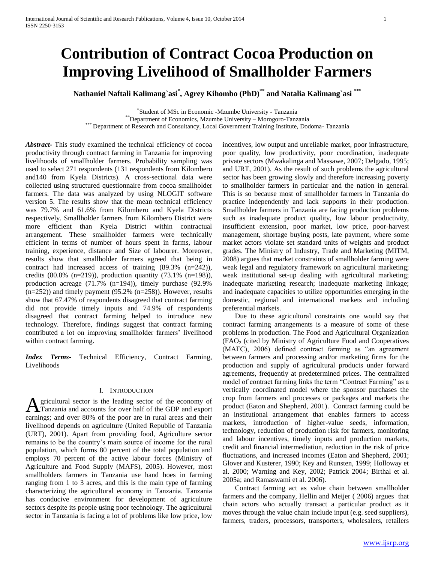# **Contribution of Contract Cocoa Production on Improving Livelihood of Smallholder Farmers**

**Nathaniel Naftali Kalimang`asi\* , Agrey Kihombo (PhD)\*\* and Natalia Kalimang`asi \*\*\***

\* Student of MSc in Economic -Mzumbe University - Tanzania

\*\*Department of Economics, Mzumbe University – Morogoro-Tanzania

\*\*\* Department of Research and Consultancy, Local Government Training Institute, Dodoma- Tanzania

*Abstract***-** This study examined the technical efficiency of cocoa productivity through contract farming in Tanzania for improving livelihoods of smallholder farmers. Probability sampling was used to select 271 respondents (131 respondents from Kilombero and140 from Kyela Districts). A cross-sectional data were collected using structured questionnaire from cocoa smallholder farmers. The data was analyzed by using NLOGIT software version 5. The results show that the mean technical efficiency was 79.7% and 61.6% from Kilombero and Kyela Districts respectively. Smallholder farmers from Kilombero District were more efficient than Kyela District within contractual arrangement. These smallholder farmers were technically efficient in terms of number of hours spent in farms, labour training, experience, distance and Size of labourer. Moreover, results show that smallholder farmers agreed that being in contract had increased access of training (89.3% (n=242)), credits  $(80.8\% \text{ (n=219)})$ , production quantity  $(73.1\% \text{ (n=198)})$ , production acreage (71.7% (n=194)), timely purchase (92.9%  $(n=252)$ ) and timely payment (95.2%  $(n=258)$ ). However, results show that 67.47% of respondents disagreed that contract farming did not provide timely inputs and 74.9% of respondents disagreed that contract farming helped to introduce new technology. Therefore, findings suggest that contract farming contributed a lot on improving smallholder farmers' livelihood within contract farming.

*Index Terms*- Technical Efficiency, Contract Farming, Livelihoods

## I. INTRODUCTION

gricultural sector is the leading sector of the economy of Tanzania and accounts for over half of the GDP and export **A** gricultural sector is the leading sector of the economy of Tanzania and accounts for over half of the GDP and export earnings; and over 80% of the poor are in rural areas and their livelihood depends on agriculture (United Republic of Tanzania (URT), 2001). Apart from providing food, Agriculture sector remains to be the country's main source of income for the rural population, which forms 80 percent of the total population and employs 70 percent of the active labour forces (Ministry of Agriculture and Food Supply (MAFS), 2005). However, most smallholders farmers in Tanzania use hand hoes in farming ranging from 1 to 3 acres, and this is the main type of farming characterizing the agricultural economy in Tanzania. Tanzania has conducive environment for development of agriculture sectors despite its people using poor technology. The agricultural sector in Tanzania is facing a lot of problems like low price, low

incentives, low output and unreliable market, poor infrastructure, poor quality, low productivity, poor coordination, inadequate private sectors (Mwakalinga and Massawe, 2007; Delgado, 1995; and URT, 2001). As the result of such problems the agricultural sector has been growing slowly and therefore increasing poverty to smallholder farmers in particular and the nation in general. This is so because most of smallholder farmers in Tanzania do practice independently and lack supports in their production. Smallholder farmers in Tanzania are facing production problems such as inadequate product quality, low labour productivity, insufficient extension, poor market, low price, poor-harvest management, shortage buying posts, late payment, where some market actors violate set standard units of weights and product grades. The Ministry of Industry, Trade and Marketing (MITM, 2008) argues that market constraints of smallholder farming were weak legal and regulatory framework on agricultural marketing; weak institutional set-up dealing with agricultural marketing; inadequate marketing research; inadequate marketing linkage; and inadequate capacities to utilize opportunities emerging in the domestic, regional and international markets and including preferential markets.

 Due to these agricultural constraints one would say that contract farming arrangements is a measure of some of these problems in production. The Food and Agricultural Organization  $(FAO<sub>2</sub>)$  (cited by Ministry of Agriculture Food and Cooperatives (MAFC), 2006) defined contract farming as "an agreement between farmers and processing and/or marketing firms for the production and supply of agricultural products under forward agreements, frequently at predetermined prices. The centralized model of contract farming links the term "Contract Farming" as a vertically coordinated model where the sponsor purchases the crop from farmers and processes or packages and markets the product (Eaton and Shepherd, 2001). Contract farming could be an institutional arrangement that enables farmers to access markets, introduction of higher-value seeds, information, technology, reduction of production risk for farmers, monitoring and labour incentives, timely inputs and production markets, credit and financial intermediation, reduction in the risk of price fluctuations, and increased incomes (Eaton and Shepherd, 2001; Glover and Kusterer, 1990; Key and Runsten, 1999; Holloway et al. 2000; Warning and Key, 2002; Patrick 2004; Birthal et al. 2005a; and Ramaswami et al. 2006).

 Contract farming act as value chain between smallholder farmers and the company, Hellin and Meijer ( 2006) argues that chain actors who actually transact a particular product as it moves through the value chain include input (e.g. seed suppliers), farmers, traders, processors, transporters, wholesalers, retailers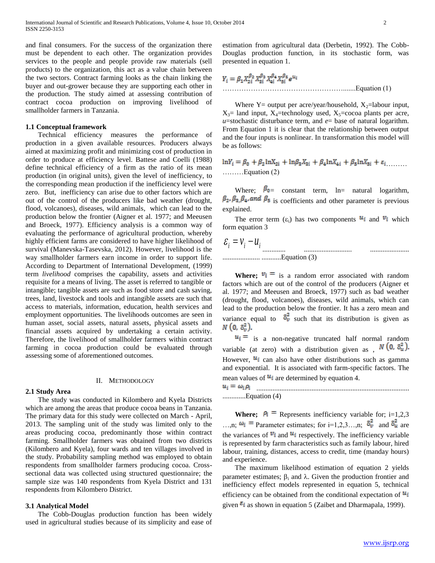and final consumers. For the success of the organization there must be dependent to each other. The organization provides services to the people and people provide raw materials (sell products) to the organization, this act as a value chain between the two sectors. Contract farming looks as the chain linking the buyer and out-grower because they are supporting each other in the production. The study aimed at assessing contribution of contract cocoa production on improving livelihood of smallholder farmers in Tanzania.

#### **1.1 Conceptual framework**

 Technical efficiency measures the performance of production in a given available resources. Producers always aimed at maximizing profit and minimizing cost of production in order to produce at efficiency level. Battese and Coelli (1988) define technical efficiency of a firm as the ratio of its mean production (in original units), given the level of inefficiency, to the corresponding mean production if the inefficiency level were zero. But, inefficiency can arise due to other factors which are out of the control of the producers like bad weather (drought, flood, volcanoes), diseases, wild animals, which can lead to the production below the frontier (Aigner et al. 1977; and Meeusen and Broeck, 1977). Efficiency analysis is a common way of evaluating the performance of agricultural production, whereby highly efficient farms are considered to have higher likelihood of survival (Manevska-Tasevska, 2012). However, livelihood is the way smallholder farmers earn income in order to support life. According to Department of International Development, (1999) term *livelihood* comprises the capability, assets and activities requisite for a means of living. The asset is referred to tangible or intangible; tangible assets are such as food store and cash saving, trees, land, livestock and tools and intangible assets are such that access to materials, information, education, health services and employment opportunities. The livelihoods outcomes are seen in human asset, social assets, natural assets, physical assets and financial assets acquired by undertaking a certain activity. Therefore, the livelihood of smallholder farmers within contract farming in cocoa production could be evaluated through assessing some of aforementioned outcomes.

#### II. METHODOLOGY

#### **2.1 Study Area**

 The study was conducted in Kilombero and Kyela Districts which are among the areas that produce cocoa beans in Tanzania. The primary data for this study were collected on March - April, 2013. The sampling unit of the study was limited only to the areas producing cocoa, predominantly those within contract farming. Smallholder farmers was obtained from two districts (Kilombero and Kyela), four wards and ten villages involved in the study. Probability sampling method was employed to obtain respondents from smallholder farmers producing cocoa. Crosssectional data was collected using structured questionnaire; the sample size was 140 respondents from Kyela District and 131 respondents from Kilombero District.

#### **3.1 Analytical Model**

 The Cobb-Douglas production function has been widely used in agricultural studies because of its simplicity and ease of estimation from agricultural data (Derbetin, 1992). The Cobb-Douglas production function, in its stochastic form, was presented in equation 1.

$$
Y_i = \beta_1 X_{2i}^{\beta_2} X_{3i}^{\beta_3} X_{4i}^{\beta_4} X_{5i}^{\beta_5} e^{u_i}
$$
  
................. Equation (1)

Where Y= output per acre/year/household,  $X_2$ =labour input,  $X_3$ = land input,  $X_4$ =technology used,  $X_5$ =cocoa plants per acre,  $u$ =stochastic disturbance term, and  $e$ = base of natural logarithm. From Equation 1 it is clear that the relationship between output and the four inputs is nonlinear. In transformation this model will be as follows:

$$
\ln Y_i = \beta_0 + \beta_2 \ln X_{2i} + \ln \beta_3 X_{3i} + \beta_4 \ln X_{4i} + \beta_5 \ln X_{5i} + \varepsilon_i
$$
  
........  
Equation (2)

Where;  $\beta_{0}$  constant term, ln= natural logarithm,  $\beta_2$ ,  $\beta_3$ ,  $\beta_4$ , and  $\beta_5$  is coefficients and other parameter is previous explained.

The error term  $(\epsilon_i)$  has two components  $u_i$  and  $v_i$  which form equation 3

 $\mathcal{E}_i = \mathcal{V}_i - \mathcal{U}_i$ ............. ........................... ...................... ..................... ...........Equation (3)

**Where:**  $v_i = i_s$  a random error associated with random factors which are out of the control of the producers (Aigner et al. 1977; and Meeusen and Broeck, 1977) such as bad weather (drought, flood, volcanoes), diseases, wild animals, which can lead to the production below the frontier. It has a zero mean and variance equal to  $\delta_v^2$  such that its distribution is given as  $N(0, \delta_v^2)$ .

 $u_i =$  is a non-negative truncated half normal random variable (at zero) with a distribution given as ,  $N(0, \delta_u^2)$ . However,  $u_i$  can also have other distributions such as gamma and exponential. It is associated with farm-specific factors. The mean values of  $u_i$  are determined by equation 4.

...................................................................................... .............Equation (4)

**Where;**  $\rho_i$  = Represents inefficiency variable for; i=1,2,3 ...,n;  $\omega_i$  = Parameter estimates; for i=1,2,3...,n;  $\delta_v^2$  and  $\delta_u^2$  are the variances of  $v_i$  and  $u_i$  respectively. The inefficiency variable is represented by farm characteristics such as family labour, hired labour, training, distances, access to credit, time (manday hours) and experience.

 The maximum likelihood estimation of equation 2 yields parameter estimates;  $\beta_i$  and  $\lambda$ . Given the production frontier and inefficiency effect models represented in equation 5, technical efficiency can be obtained from the conditional expectation of  $\mathbf{u}_i$ given  $\epsilon_i$  as shown in equation 5 (Zaibet and Dharmapala, 1999).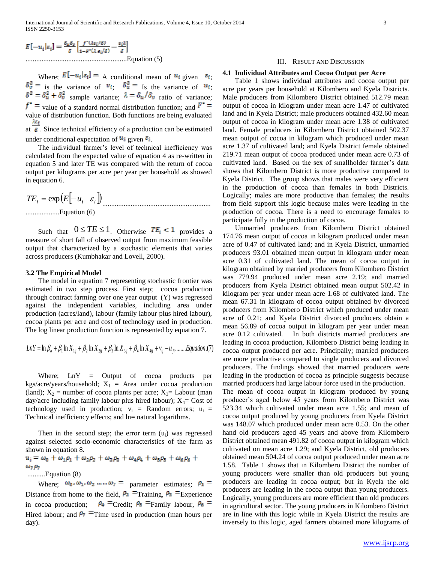$$
E[-u_i|\varepsilon_i] = \frac{\delta_u \delta_v}{\delta} \left[ \frac{f^*(\lambda \varepsilon_i/\delta)}{1 - F^*(\lambda \varepsilon_i/\delta)} - \frac{\varepsilon_i \lambda}{\delta} \right]
$$
  
...........  
Equation (5)

Where;  $E[-u_i|\varepsilon_i] = A$  conditional mean of  $u_i$  given  $\varepsilon_i$ ; is the variance of  $v_i$ ;  $\delta \vec{u} = I_s$  the variance of  $u_i$ ; sample variance;  $\lambda = \partial_{\mu}/\partial_{\nu}$  ratio of variance;  $f^*$  = value of a standard normal distribution function; and  $F^*$  = value of distribution function. Both functions are being evaluated  $\lambda \varepsilon_i$ 

at  $\delta$ . Since technical efficiency of a production can be estimated under conditional expectation of  $u_i$  given  $\varepsilon_i$ .

 The individual farmer's level of technical inefficiency was calculated from the expected value of equation 4 as re-written in equation 5 and later TE was compared with the return of cocoa output per kilograms per acre per year per household as showed in equation 6.

$$
TE_i = \exp\left(E\left[-u_i \mid \varepsilon_i\right]\right) \dots
$$

...................Equation (6)

Such that  $0 \leq TE \leq 1$ . Otherwise  $TE_i < 1$  provides a measure of short fall of observed output from maximum feasible output that characterized by a stochastic elements that varies across producers (Kumbhakar and Lovell, 2000).

## **3.2 The Empirical Model**

 The model in equation 7 representing stochastic frontier was estimated in two step process. First step; cocoa production through contract farming over one year output (Y) was regressed against the independent variables, including area under production (acres/land), labour (family labour plus hired labour), cocoa plants per acre and cost of technology used in production. The log linear production function is represented by equation 7.

$$
LnY = \ln \beta_o + \beta_1 \ln X_{1ij} + \beta_2 \ln X_{2ij} + \beta_3 \ln X_{3ij} + \beta_4 \ln X_{4ij} + v_{ij} - u_{ji} \dots L \text{quation.} (7)
$$

 Where; LnY = Output of cocoa products per kgs/acre/years/household;  $X_1$  = Area under cocoa production (land);  $X_2$  = number of cocoa plants per acre;  $X_3$ = Labour (man day/acre including family labour plus hired labour);  $X_4$ = Cost of technology used in production;  $v_i$  = Random errors;  $u_i$  = Technical inefficiency effects; and  $ln=$  natural logarithms.

Then in the second step; the error term  $(u_i)$  was regressed against selected socio-economic characteristics of the farm as shown in equation 8.

$$
u_i = \omega_0 + \omega_1 \rho_1 + \omega_2 \rho_2 + \omega_3 \rho_3 + \omega_4 \rho_4 + \omega_5 \rho_5 + \omega_6 \rho_6 + \omega_7 \rho_7
$$
  
........
$$
Equation (8)
$$

Where;  $\omega_0$ ,  $\omega_1$ ,  $\omega_2$  ....,  $\omega_7$  = parameter estimates;  $\rho_1$  = Distance from home to the field,  $P_2$  = Training,  $P_3$  = Experience in cocoa production;  $\rho_4$  = Credit;  $\rho_5$  = Family labour,  $\rho_6$  = Hired labour; and  $P_7$  = Time used in production (man hours per day).

## III. RESULT AND DISCUSSION

## **4.1 Individual Attributes and Cocoa Output per Acre**

 Table 1 shows individual attributes and cocoa output per acre per years per household at Kilombero and Kyela Districts. Male producers from Kilombero District obtained 512.79 mean output of cocoa in kilogram under mean acre 1.47 of cultivated land and in Kyela District; male producers obtained 432.60 mean output of cocoa in kilogram under mean acre 1.38 of cultivated land. Female producers in Kilombero District obtained 502.37 mean output of cocoa in kilogram which produced under mean acre 1.37 of cultivated land; and Kyela District female obtained 219.71 mean output of cocoa produced under mean acre 0.73 of cultivated land. Based on the sex of smallholder farmer's data shows that Kilombero District is more productive compared to Kyela District. The group shows that males were very efficient in the production of cocoa than females in both Districts. Logically; males are more productive than females; the results from field support this logic because males were leading in the production of cocoa. There is a need to encourage females to participate fully in the production of cocoa.

 Unmarried producers from Kilombero District obtained 174.76 mean output of cocoa in kilogram produced under mean acre of 0.47 of cultivated land; and in Kyela District, unmarried producers 93.01 obtained mean output in kilogram under mean acre 0.31 of cultivated land. The mean of cocoa output in kilogram obtained by married producers from Kilombero District was 779.94 produced under mean acre 2.19; and married producers from Kyela District obtained mean output 502.42 in kilogram per year under mean acre 1.68 of cultivated land. The mean 67.31 in kilogram of cocoa output obtained by divorced producers from Kilombero District which produced under mean acre of 0.21; and Kyela District divorced producers obtain a mean 56.89 of cocoa output in kilogram per year under mean acre 0.12 cultivated. In both districts married producers are leading in cocoa production, Kilombero District being leading in cocoa output produced per acre. Principally; married producers are more productive compared to single producers and divorced producers. The findings showed that married producers were leading in the production of cocoa as principle suggests because married producers had large labour force used in the production.

The mean of cocoa output in kilogram produced by young producer's aged below 45 years from Kilombero District was 523.34 which cultivated under mean acre 1.55; and mean of cocoa output produced by young producers from Kyela District was 148.07 which produced under mean acre 0.53. On the other hand old producers aged 45 years and above from Kilombero District obtained mean 491.82 of cocoa output in kilogram which cultivated on mean acre 1.29; and Kyela District, old producers obtained mean 504.24 of cocoa output produced under mean acre 1.58. Table 1 shows that in Kilombero District the number of young producers were smaller than old producers but young producers are leading in cocoa output; but in Kyela the old producers are leading in the cocoa output than young producers. Logically, young producers are more efficient than old producers in agricultural sector. The young producers in Kilombero District are in line with this logic while in Kyela District the results are inversely to this logic, aged farmers obtained more kilograms of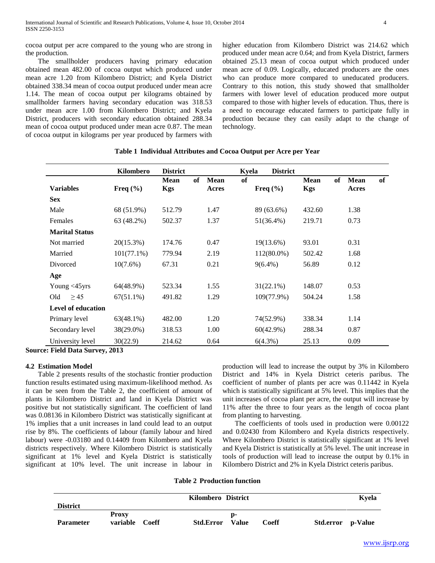cocoa output per acre compared to the young who are strong in the production.

 The smallholder producers having primary education obtained mean 482.00 of cocoa output which produced under mean acre 1.20 from Kilombero District; and Kyela District obtained 338.34 mean of cocoa output produced under mean acre 1.14. The mean of cocoa output per kilograms obtained by smallholder farmers having secondary education was 318.53 under mean acre 1.00 from Kilombero District; and Kyela District, producers with secondary education obtained 288.34 mean of cocoa output produced under mean acre 0.87. The mean of cocoa output in kilograms per year produced by farmers with higher education from Kilombero District was 214.62 which produced under mean acre 0.64; and from Kyela District, farmers obtained 25.13 mean of cocoa output which produced under mean acre of 0.09. Logically, educated producers are the ones who can produce more compared to uneducated producers. Contrary to this notion, this study showed that smallholder farmers with lower level of education produced more output compared to those with higher levels of education. Thus, there is a need to encourage educated farmers to participate fully in production because they can easily adapt to the change of technology.

|                           | Kilombero     | <b>District</b>                 |                                   | Kyela         | <b>District</b> |                           |    |                      |    |
|---------------------------|---------------|---------------------------------|-----------------------------------|---------------|-----------------|---------------------------|----|----------------------|----|
| <b>Variables</b>          | Freq $(\% )$  | of<br><b>Mean</b><br><b>Kgs</b> | <b>of</b><br><b>Mean</b><br>Acres | Freq $(\% )$  |                 | <b>Mean</b><br><b>Kgs</b> | of | <b>Mean</b><br>Acres | of |
| <b>Sex</b>                |               |                                 |                                   |               |                 |                           |    |                      |    |
| Male                      | 68 (51.9%)    | 512.79                          | 1.47                              | 89 (63.6%)    |                 | 432.60                    |    | 1.38                 |    |
| Females                   | 63 (48.2%)    | 502.37                          | 1.37                              | $51(36.4\%)$  |                 | 219.71                    |    | 0.73                 |    |
| <b>Marital Status</b>     |               |                                 |                                   |               |                 |                           |    |                      |    |
| Not married               | 20(15.3%)     | 174.76                          | 0.47                              | 19(13.6%)     |                 | 93.01                     |    | 0.31                 |    |
| Married                   | $101(77.1\%)$ | 779.94                          | 2.19                              | $112(80.0\%)$ |                 | 502.42                    |    | 1.68                 |    |
| Divorced                  | 10(7.6%)      | 67.31                           | 0.21                              | $9(6.4\%)$    |                 | 56.89                     |    | 0.12                 |    |
| Age                       |               |                                 |                                   |               |                 |                           |    |                      |    |
| Young $<$ 45 $y$ rs       | 64(48.9%)     | 523.34                          | 1.55                              | $31(22.1\%)$  |                 | 148.07                    |    | 0.53                 |    |
| Old<br>$\geq$ 45          | $67(51.1\%)$  | 491.82                          | 1.29                              | 109(77.9%)    |                 | 504.24                    |    | 1.58                 |    |
| <b>Level of education</b> |               |                                 |                                   |               |                 |                           |    |                      |    |
| Primary level             | $63(48.1\%)$  | 482.00                          | 1.20                              | 74(52.9%)     |                 | 338.34                    |    | 1.14                 |    |
| Secondary level           | 38(29.0%)     | 318.53                          | 1.00                              | $60(42.9\%)$  |                 | 288.34                    |    | 0.87                 |    |
| University level          | 30(22.9)      | 214.62                          | 0.64                              | $6(4.3\%)$    |                 | 25.13                     |    | 0.09                 |    |

# **Table 1 Individual Attributes and Cocoa Output per Acre per Year**

**Source: Field Data Survey, 2013** 

## **4.2 Estimation Model**

 Table 2 presents results of the stochastic frontier production function results estimated using maximum-likelihood method. As it can be seen from the Table 2, the coefficient of amount of plants in Kilombero District and land in Kyela District was positive but not statistically significant. The coefficient of land was 0.08136 in Kilombero District was statistically significant at 1% implies that a unit increases in land could lead to an output rise by 8%. The coefficients of labour (family labour and hired labour) were -0.03180 and 0.14409 from Kilombero and Kyela districts respectively. Where Kilombero District is statistically significant at 1% level and Kyela District is statistically significant at 10% level. The unit increase in labour in

production will lead to increase the output by 3% in Kilombero District and 14% in Kyela District ceteris paribus. The coefficient of number of plants per acre was 0.11442 in Kyela which is statistically significant at 5% level. This implies that the unit increases of cocoa plant per acre, the output will increase by 11% after the three to four years as the length of cocoa plant from planting to harvesting.

 The coefficients of tools used in production were 0.00122 and 0.02430 from Kilombero and Kyela districts respectively. Where Kilombero District is statistically significant at 1% level and Kyela District is statistically at 5% level. The unit increase in tools of production will lead to increase the output by 0.1% in Kilombero District and 2% in Kyela District ceteris paribus.

**Table 2 Production function**

|                  | Kilombero District |              |                  |       |       |                   | Kyela |
|------------------|--------------------|--------------|------------------|-------|-------|-------------------|-------|
| <b>District</b>  |                    |              |                  |       |       |                   |       |
|                  | <b>Proxy</b>       |              |                  | D-    |       |                   |       |
| <b>Parameter</b> | variable           | <b>Coeff</b> | <b>Std.Error</b> | Value | Coeff | Std.error p-Value |       |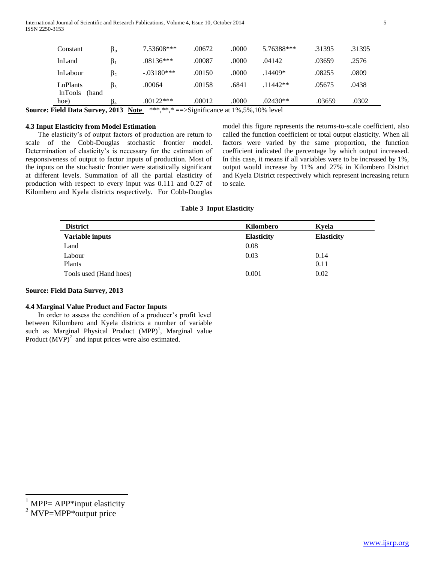| Constant                                                                 | $\beta_{o}$ | 7.53608***   | .00672 | .0000 | 5.76388*** | .31395 | .31395 |
|--------------------------------------------------------------------------|-------------|--------------|--------|-------|------------|--------|--------|
| <b>lnLand</b>                                                            | $\beta_1$   | $.08136***$  | .00087 | .0000 | .04142     | .03659 | .2576  |
| <i>lnLabour</i>                                                          | $\beta_2$   | $-.03180***$ | .00150 | .0000 | $.14409*$  | .08255 | .0809  |
| LnPlants<br><b>lnTools</b><br>(hand                                      | $\beta_3$   | .00064       | .00158 | .6841 | $.11442**$ | .05675 | .0438  |
| hoe)                                                                     | Þ4          | $.00122***$  | .00012 | .0000 | $.02430**$ | .03659 | .0302  |
| as Field Data Current 2012. Note $*****-$ Cignificance of 10/50/100/1200 |             |              |        |       |            |        |        |

**Source: Field Data Survey, 2013** Note \*\*\*,\*\*,\* = Significance at 1%,5%,10% level

# **4.3 Input Elasticity from Model Estimation**

 The elasticity's of output factors of production are return to scale of the Cobb-Douglas stochastic frontier model. Determination of elasticity's is necessary for the estimation of responsiveness of output to factor inputs of production. Most of the inputs on the stochastic frontier were statistically significant at different levels. Summation of all the partial elasticity of production with respect to every input was 0.111 and 0.27 of Kilombero and Kyela districts respectively. For Cobb-Douglas model this figure represents the returns-to-scale coefficient, also called the function coefficient or total output elasticity. When all factors were varied by the same proportion, the function coefficient indicated the percentage by which output increased. In this case, it means if all variables were to be increased by 1%, output would increase by 11% and 27% in Kilombero District and Kyela District respectively which represent increasing return to scale.

# **Table 3 Input Elasticity**

| <b>District</b>        | Kilombero         | Kvela             |
|------------------------|-------------------|-------------------|
| Variable inputs        | <b>Elasticity</b> | <b>Elasticity</b> |
| Land                   | 0.08              |                   |
| Labour                 | 0.03              | 0.14              |
| Plants                 |                   | 0.11              |
| Tools used (Hand hoes) | 0.001             | 0.02              |

# **Source: Field Data Survey, 2013**

# **4.4 Marginal Value Product and Factor Inputs**

 In order to assess the condition of a producer's profit level between Kilombero and Kyela districts a number of variable such as Marginal Physical Product  $(MPP)^1$ , Marginal value Product  $(MVP)^2$  and input prices were also estimated.

 $\overline{a}$ 

 $1$  MPP= APP\*input elasticity

 $2$  MVP=MPP $*$ output price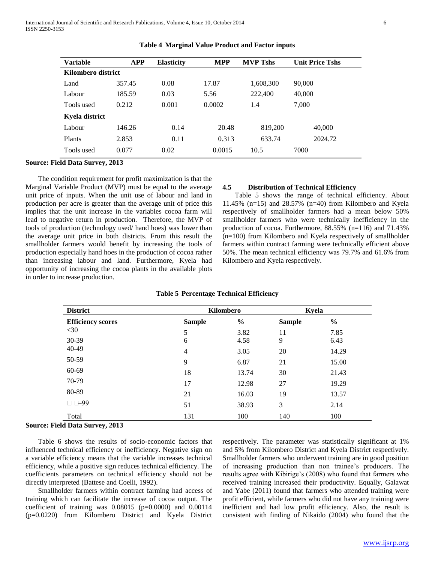| <b>Variable</b>    | <b>APP</b> | <b>Elasticity</b> | <b>MPP</b> | <b>MVP Tshs</b> | <b>Unit Price Tshs</b> |
|--------------------|------------|-------------------|------------|-----------------|------------------------|
| Kilombero district |            |                   |            |                 |                        |
| Land               | 357.45     | 0.08              | 17.87      | 1,608,300       | 90,000                 |
| Labour             | 185.59     | 0.03              | 5.56       | 222,400         | 40,000                 |
| Tools used         | 0.212      | 0.001             | 0.0002     | 1.4             | 7,000                  |
| Kyela district     |            |                   |            |                 |                        |
| Labour             | 146.26     | 0.14              | 20.48      | 819,200         | 40,000                 |
| Plants             | 2.853      | 0.11              | 0.313      | 633.74          | 2024.72                |
| Tools used         | 0.077      | 0.02              | 0.0015     | 10.5            | 7000                   |

#### **Table 4 Marginal Value Product and Factor inputs**

## **Source: Field Data Survey, 2013**

 The condition requirement for profit maximization is that the Marginal Variable Product (MVP) must be equal to the average unit price of inputs. When the unit use of labour and land in production per acre is greater than the average unit of price this implies that the unit increase in the variables cocoa farm will lead to negative return in production. Therefore, the MVP of tools of production (technology used/ hand hoes) was lower than the average unit price in both districts. From this result the smallholder farmers would benefit by increasing the tools of production especially hand hoes in the production of cocoa rather than increasing labour and land. Furthermore, Kyela had opportunity of increasing the cocoa plants in the available plots in order to increase production.

## **4.5 Distribution of Technical Efficiency**

 Table 5 shows the range of technical efficiency. About 11.45% (n=15) and 28.57% (n=40) from Kilombero and Kyela respectively of smallholder farmers had a mean below 50% smallholder farmers who were technically inefficiency in the production of cocoa. Furthermore, 88.55% (n=116) and 71.43% (n=100) from Kilombero and Kyela respectively of smallholder farmers within contract farming were technically efficient above 50%. The mean technical efficiency was 79.7% and 61.6% from Kilombero and Kyela respectively.

| <b>District</b>          |                | Kilombero     | Kyela         |               |
|--------------------------|----------------|---------------|---------------|---------------|
| <b>Efficiency scores</b> | <b>Sample</b>  | $\frac{0}{0}$ | <b>Sample</b> | $\frac{6}{6}$ |
| $<$ 30                   | 5              | 3.82          | 11            | 7.85          |
| 30-39                    | 6              | 4.58          | 9             | 6.43          |
| 40-49                    | $\overline{4}$ | 3.05          | 20            | 14.29         |
| 50-59                    | 9              | 6.87          | 21            | 15.00         |
| 60-69                    | 18             | 13.74         | 30            | 21.43         |
| 70-79                    | 17             | 12.98         | 27            | 19.29         |
| 80-89                    | 21             | 16.03         | 19            | 13.57         |
| $\Box$ $\Box$ -99        | 51             | 38.93         | 3             | 2.14          |
| Total                    | 131            | 100           | 140           | 100           |

#### **Table 5 Percentage Technical Efficiency**

## **Source: Field Data Survey, 2013**

 Table 6 shows the results of socio-economic factors that influenced technical efficiency or inefficiency. Negative sign on a variable efficiency means that the variable increases technical efficiency, while a positive sign reduces technical efficiency. The coefficients parameters on technical efficiency should not be directly interpreted (Battese and Coelli, 1992).

 Smallholder farmers within contract farming had access of training which can facilitate the increase of cocoa output. The coefficient of training was 0.08015 (p=0.0000) and 0.00114 (p=0.0220) from Kilombero District and Kyela District

respectively. The parameter was statistically significant at 1% and 5% from Kilombero District and Kyela District respectively. Smallholder farmers who underwent training are in good position of increasing production than non trainee's producers. The results agree with Kibirige's (2008) who found that farmers who received training increased their productivity. Equally, Galawat and Yabe (2011) found that farmers who attended training were profit efficient, while farmers who did not have any training were inefficient and had low profit efficiency. Also, the result is consistent with finding of Nikaido (2004) who found that the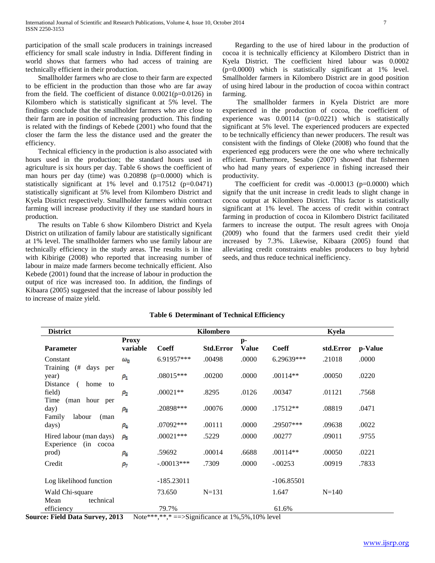participation of the small scale producers in trainings increased efficiency for small scale industry in India. Different finding in world shows that farmers who had access of training are technically efficient in their production.

 Smallholder farmers who are close to their farm are expected to be efficient in the production than those who are far away from the field. The coefficient of distance 0.0021(p=0.0126) in Kilombero which is statistically significant at 5% level. The findings conclude that the smallholder farmers who are close to their farm are in position of increasing production. This finding is related with the findings of Kebede (2001) who found that the closer the farm the less the distance used and the greater the efficiency.

 Technical efficiency in the production is also associated with hours used in the production; the standard hours used in agriculture is six hours per day. Table 6 shows the coefficient of man hours per day (time) was 0.20898 (p=0.0000) which is statistically significant at 1% level and 0.17512 (p=0.0471) statistically significant at 5% level from Kilombero District and Kyela District respectively. Smallholder farmers within contract farming will increase productivity if they use standard hours in production.

 The results on Table 6 show Kilombero District and Kyela District on utilization of family labour are statistically significant at 1% level. The smallholder farmers who use family labour are technically efficiency in the study areas. The results is in line with Kibirige (2008) who reported that increasing number of labour in maize made farmers become technically efficient. Also Kebede (2001) found that the increase of labour in production the output of rice was increased too. In addition, the findings of Kibaara (2005) suggested that the increase of labour possibly led to increase of maize yield.

 Regarding to the use of hired labour in the production of cocoa it is technically efficiency at Kilombero District than in Kyela District. The coefficient hired labour was 0.0002 (p=0.0000) which is statistically significant at 1% level. Smallholder farmers in Kilombero District are in good position of using hired labour in the production of cocoa within contract farming.

 The smallholder farmers in Kyela District are more experienced in the production of cocoa, the coefficient of experience was  $0.00114$  (p=0.0221) which is statistically significant at 5% level. The experienced producers are expected to be technically efficiency than newer producers. The result was consistent with the findings of Oleke (2008) who found that the experienced egg producers were the one who where technically efficient. Furthermore, Sesabo (2007) showed that fishermen who had many years of experience in fishing increased their productivity.

The coefficient for credit was -0.00013 (p=0.0000) which signify that the unit increase in credit leads to slight change in cocoa output at Kilombero District. This factor is statistically significant at 1% level. The access of credit within contract farming in production of cocoa in Kilombero District facilitated farmers to increase the output. The result agrees with Onoja (2009) who found that the farmers used credit their yield increased by 7.3%. Likewise, Kibaara (2005) found that alleviating credit constraints enables producers to buy hybrid seeds, and thus reduce technical inefficiency.

| <b>District</b>                                                    |                          |                                                      | Kilombero         |                      |              | <b>Kyela</b> |         |
|--------------------------------------------------------------------|--------------------------|------------------------------------------------------|-------------------|----------------------|--------------|--------------|---------|
| <b>Parameter</b>                                                   | <b>Proxy</b><br>variable | <b>Coeff</b>                                         | <b>Std.Error</b>  | $p-$<br><b>Value</b> | <b>Coeff</b> | std.Error    | p-Value |
| Constant                                                           | $\omega_{0}$             | 6.91957***                                           | .00498            | .0000                | 6.29639***   | .21018       | .0000   |
| Training<br>(#<br>days per<br>year)<br>Distance<br>home<br>(<br>to | $\rho_{1}$               | $.08015***$                                          | .00200            | .0000                | $.00114**$   | .00050       | .0220   |
| field)                                                             | $\rho_{\rm z}$           | $.00021**$                                           | .8295             | .0126                | .00347       | .01121       | .7568   |
| Time<br>(man hour per<br>day)<br>Family<br>labour<br>(man          | $\rho_{\rm a}$           | .20898***                                            | .00076            | .0000                | $.17512**$   | .08819       | .0471   |
| days)                                                              | $\rho_4$                 | $.07092$ ***                                         | .00111            | .0000                | .29507***    | .09638       | .0022   |
| Hired labour (man days)<br>Experience<br>(in cocoa                 | $\rho_{5}$               | $.00021***$                                          | .5229             | .0000                | .00277       | .09011       | .9755   |
| prod)                                                              | ρs                       | .59692                                               | .00014            | .6688                | $.00114**$   | .00050       | .0221   |
| Credit                                                             | $\rho_7$                 | $-.00013***$                                         | .7309             | .0000                | $-.00253$    | .00919       | .7833   |
| Log likelihood function                                            |                          | $-185.23011$                                         |                   |                      | $-106.85501$ |              |         |
| Wald Chi-square<br>technical<br>Mean                               |                          | 73.650                                               | $N = 131$         |                      | 1.647        | $N = 140$    |         |
| efficiency<br>2012<br>E: 1.1, D: 4: 6                              |                          | 79.7%<br><b>NT. L. WWW.WWW</b><br>$\cdot$ $\alpha$ . | $\cdot$ c $\cdot$ | (1.10/50/100/1)      | 61.6%        |              |         |

# **Table 6 Determinant of Technical Efficiency**

**Source: Field Data Survey, 2013** Note\*\*\*,\*\*,\* ==>Significance at 1%,5%,10% level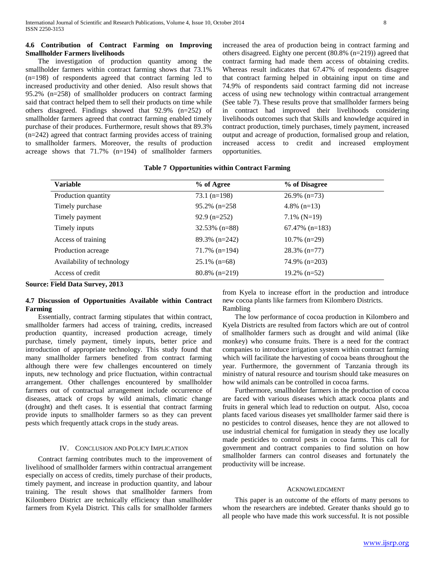# **4.6 Contribution of Contract Farming on Improving Smallholder Farmers livelihoods**

 The investigation of production quantity among the smallholder farmers within contract farming shows that 73.1% (n=198) of respondents agreed that contract farming led to increased productivity and other denied. Also result shows that 95.2% (n=258) of smallholder producers on contract farming said that contract helped them to sell their products on time while others disagreed. Findings showed that 92.9% (n=252) of smallholder farmers agreed that contract farming enabled timely purchase of their produces. Furthermore, result shows that 89.3% (n=242) agreed that contract farming provides access of training to smallholder farmers. Moreover, the results of production acreage shows that 71.7% (n=194) of smallholder farmers

increased the area of production being in contract farming and others disagreed. Eighty one percent (80.8% (n=219)) agreed that contract farming had made them access of obtaining credits. Whereas result indicates that 67.47% of respondents disagree that contract farming helped in obtaining input on time and 74.9% of respondents said contract farming did not increase access of using new technology within contractual arrangement (See table 7). These results prove that smallholder farmers being in contract had improved their livelihoods considering livelihoods outcomes such that Skills and knowledge acquired in contract production, timely purchases, timely payment, increased output and acreage of production, formalised group and relation, increased access to credit and increased employment opportunities.

# **Table 7 Opportunities within Contract Farming**

| <b>Variable</b>            | % of Agree       | % of Disagree     |
|----------------------------|------------------|-------------------|
| Production quantity        | $73.1$ (n=198)   | $26.9\%$ (n=73)   |
| Timely purchase            | $95.2\%$ (n=258) | 4.8% $(n=13)$     |
| Timely payment             | $92.9$ (n=252)   | $7.1\%$ (N=19)    |
| Timely inputs              | $32.53\%$ (n=88) | $67.47\%$ (n=183) |
| Access of training         | $89.3\%$ (n=242) | $10.7\%$ (n=29)   |
| Production acreage         | $71.7\%$ (n=194) | $28.3\%$ (n=77)   |
| Availability of technology | $25.1\%$ (n=68)  | $74.9\%$ (n=203)  |
| Access of credit           | $80.8\%$ (n=219) | $19.2\%$ (n=52)   |

**Source: Field Data Survey, 2013** 

# **4.7 Discussion of Opportunities Available within Contract Farming**

 Essentially, contract farming stipulates that within contract, smallholder farmers had access of training, credits, increased production quantity, increased production acreage, timely purchase, timely payment, timely inputs, better price and introduction of appropriate technology. This study found that many smallholder farmers benefited from contract farming although there were few challenges encountered on timely inputs, new technology and price fluctuation, within contractual arrangement. Other challenges encountered by smallholder farmers out of contractual arrangement include occurrence of diseases, attack of crops by wild animals, climatic change (drought) and theft cases. It is essential that contract farming provide inputs to smallholder farmers so as they can prevent pests which frequently attack crops in the study areas.

# IV. CONCLUSION AND POLICY IMPLICATION

 Contract farming contributes much to the improvement of livelihood of smallholder farmers within contractual arrangement especially on access of credits, timely purchase of their products, timely payment, and increase in production quantity, and labour training. The result shows that smallholder farmers from Kilombero District are technically efficiency than smallholder farmers from Kyela District. This calls for smallholder farmers

from Kyela to increase effort in the production and introduce new cocoa plants like farmers from Kilombero Districts. Rambling

 The low performance of cocoa production in Kilombero and Kyela Districts are resulted from factors which are out of control of smallholder farmers such as drought and wild animal (like monkey) who consume fruits. There is a need for the contract companies to introduce irrigation system within contract farming which will facilitate the harvesting of cocoa beans throughout the year. Furthermore, the government of Tanzania through its ministry of natural resource and tourism should take measures on how wild animals can be controlled in cocoa farms.

 Furthermore, smallholder farmers in the production of cocoa are faced with various diseases which attack cocoa plants and fruits in general which lead to reduction on output. Also, cocoa plants faced various diseases yet smallholder farmer said there is no pesticides to control diseases, hence they are not allowed to use industrial chemical for fumigation in steady they use locally made pesticides to control pests in cocoa farms. This call for government and contract companies to find solution on how smallholder farmers can control diseases and fortunately the productivity will be increase.

## ACKNOWLEDGMENT

 This paper is an outcome of the efforts of many persons to whom the researchers are indebted. Greater thanks should go to all people who have made this work successful. It is not possible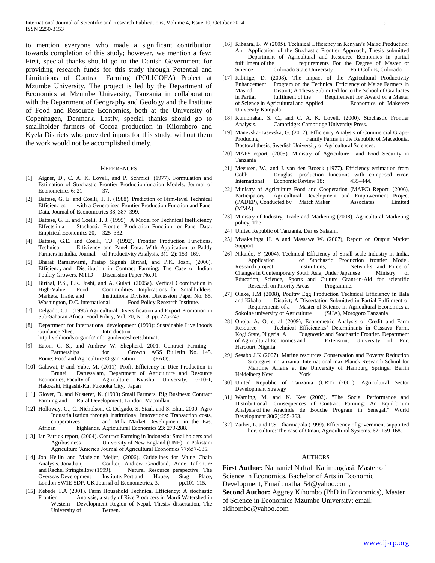to mention everyone who made a significant contribution towards completion of this study; however, we mention a few; First, special thanks should go to the Danish Government for providing research funds for this study through Potential and Limitations of Contract Farming (POLICOFA) Project at Mzumbe University. The project is led by the Department of Economics at Mzumbe University, Tanzania in collaboration with the Department of Geography and Geology and the Institute of Food and Resource Economics, both at the University of Copenhagen, Denmark. Lastly, special thanks should go to smallholder farmers of Cocoa production in Kilombero and Kyela Districts who provided inputs for this study, without them the work would not be accomplished timely.

#### **REFERENCES**

- [1] Aigner, D., C. A. K. Lovell, and P. Schmidt. (1977). Formulation and Estimation of Stochastic Frontier Productionfunction Models. Journal of Econometrics 6: 21- 37.
- [2] Battese, G. E. and Coelli, T. J. (1988). Prediction of Firm-level Technical Efficiencies with a Generalised Frontier Production Function and Panel Data, Journal of Econometrics 38, 387–399.
- [3] Battese, G. E. and Coelli, T. J. (1995). A Model for Technical Inefficiency Effects in a Stochastic Frontier Production Function for Panel Data. Empirical Economics 20, 325–332.
- [4] Battese, G.E. and Coelli, T.J. (1992). Frontier Production Functions, Technical Efficiency and Panel Data: With Application to Paddy Farmers in India. Journal of Productivity Analysis, 3(1–2): 153–169.
- [5] Bharat Ramaswami, Pratap Signgh Birthal, and P.K. Joshi, (2006), Efficiency and Distribution in Contract Farming: The Case of Indian Poultry Growers. MTID Discussion Paper No.91
- [6] Birthal, P.S., P.K. Joshi, and A. Gulati. (2005a). Vertical Coordination in High-Value Food Commodities: Implications for Smallholders. Markets, Trade, and Institutions Division Discussion Paper No. 85. Washington, D.C. International Food Policy Research Institute.
- [7] Delgado, C.L. (1995) Agricultural Diversification and Export Promotion in Sub-Saharan Africa, Food Policy, Vol. 20, No. 3, pp. 225-243.
- [8] Department for International development (1999): Sustainable Livelihoods Guidance Sheet: Introduction.
- http:livelihoods.org/info/info\_guidencesheets.htm#1.
- [9] Eaton, C. S., and Andrew W. Shepherd. 2001. Contract Farming -Partnerships for Growth. AGS Bulletin No. 145. Rome: Food and Agriculture Organization (FAO).
- [10] Galawat, F and Yabe, M. (2011). Profit Efficiency in Rice Production in Brunei Darussalam, Department of Agriculture and Resource Economics, Faculty of Agriculture Kyushu University, 6-10-1, Hakozaki, Higashi-Ku, Fukuoka City, Japan
- [11] Glover, D. and Kusterer, K. (1990) Small Farmers, Big Business: Contract Farming and Rural Development, London: Macmillan.
- [12] Holloway, G., C. Nicholson, C. Delgado, S. Staal, and S. Ehui. 2000. Agro Industrialization through institutional Innovations: Transaction costs, cooperatives and Milk Market Development in the East African highlands. Agricultural Economics 23: 279-288.
- [13] Ian Patrick report, (2004). Contract Farming in Indonesia: Smallholders and Agribusiness University of New England (UNE). in Pakistani Agriculture"America Journal of Agricultural Economics 77:657-685.
- [14] Jon Hellin and Madelon Meijer, (2006). Guidelines for Value Chain Analysis. Jonathan, Coulter, Andrew Goodland, Anne Tallontire and Rachel Stringfellow (1999). Natural Resource perspective, The Overseas Development Institute, Portland House, Stag Place,<br>
London SW1E 5DP, UK Journal of Econometrics, 3, pp. 101-115. London SW1E 5DP, UK Journal of Econometrics, 3,
- [15] Kebede T.A (2001). Farm Household Technical Efficiency: A stochastic Frontier Analysis, a study of Rice Producers in Mardi Watershed in Western Development Region of Nepal. Thesis/ dissertation, The University of Bergen.
- [16] Kibaara, B. W (2005). Technical Efficiency in Kenyan's Maize Production: An Application of the Stochastic Frontier Approach, Thesis submitted Department of Agricultural and Resource Economics In partial fulfillment of the requirements For the Degree of Master of Science Colorado State University Fort Collins, Colorado Science Colorado State University
- [17] Kibirige, D. (2008). The Impact of the Agricultural Productivity Enhancement Program on the Technical Efficiency of Maize Farmers in Masindi District; A Thesis Submitted for to the School of Graduates in Partial fulfilment of the Requirement for Award of a Master of Science in Agricultural and Applied Economics of Makerere University Kampala.
- [18] Kumbhakar, S. C., and C. A. K. Lovell. (2000). Stochastic Frontier Analysis. Cambridge: Cambridge University Press.
- [19] Manevska-Tasevska, G. (2012). Efficiency Analysis of Commercial Grape-Producing Family Farms in the Republic of Macedonia. Doctoral thesis, Swedish University of Agricultural Sciences.
- [20] MAFS report, (2005). Ministry of Agriculture and Food Security in Tanzania
- [21] Meeusen, W., and J. van den Broeck (1977). Efficiency estimation from Douglas production functions with composed error. International Economic Review 18: 435–444.
- [22] Ministry of Agriculture Food and Cooperation (MAFC) Report, (2006), Participatory Agricultural Development and Empowerment Project (PADEP), Conducted by Match Maker Associates Limited (MMA)
- [23] Ministry of Industry, Trade and Marketing (2008), Agricultural Marketing policy, The
- [24] United Republic of Tanzania, Dar es Salaam.
- [25] Mwakalinga H. A and Massawe W. (2007), Report on Output Market Support.
- [26] Nikaido, Y (2004). Technical Efficiency of Small-scale Industry in India, Application of Stochastic Production frontier Model. Research project: Institutions, Networks, and Force of Changes in Contemporary South Asia, Under Japanese Ministry of Education, Science, Sports and Culture Grant-in-Aid for scientific Research on Priority Areas Programme.
- [27] Oleke, J.M (2008), Poultry Egg Production Technical Efficiency in Ilala District; A Dissertation Submitted in Partial Fulfilment of Requirements of a Master of Science in Agricultural Economics at Sokoine university of Agriculture (SUA), Morogoro Tanzania.
- [28] Onoja, A. O, et al (2009), Econometric Analysis of Credit and Farm Resource Technical Efficiencies' Determinants in Cassava Farm, Kogi State, Nigeria: A Diagnostic and Stochastic Frontier. Department of Agricultural Economics and Extension, University of Port Harcourt, Nigeria.
- [29] Sesabo J.K (2007). Marine resources Conservation and Poverty Reduction Strategies in Tanzania; International max Planck Research School for Mantime Affairs at the University of Hamburg Springer Berlin Heidelberg New York
- [30] United Republic of Tanzania (URT) (2001). Agricultural Sector Development Strategy
- [31] Warning, M. and N. Key (2002). "The Social Performance and Distributional Consequences of Contract Farming: An Equilibrium Analysis of the Arachide de Bouche Program in Senegal." World Development 30(2):255-263.
- [32] Zaibet, L. and P.S. Dharmapala (1999). Efficiency of government supported horticulture: The case of Oman, Agricultural Systems. 62: 159-168.

#### AUTHORS

**First Author:** Nathaniel Naftali Kalimang`asi: Master of Science in Economics, Bachelor of Arts in Economic Development, Email: nathan54@yahoo.com,

**Second Author:** Aggrey Kihombo (PhD in Economics), Master of Science in Economics Mzumbe University; email: akihombo@yahoo.com